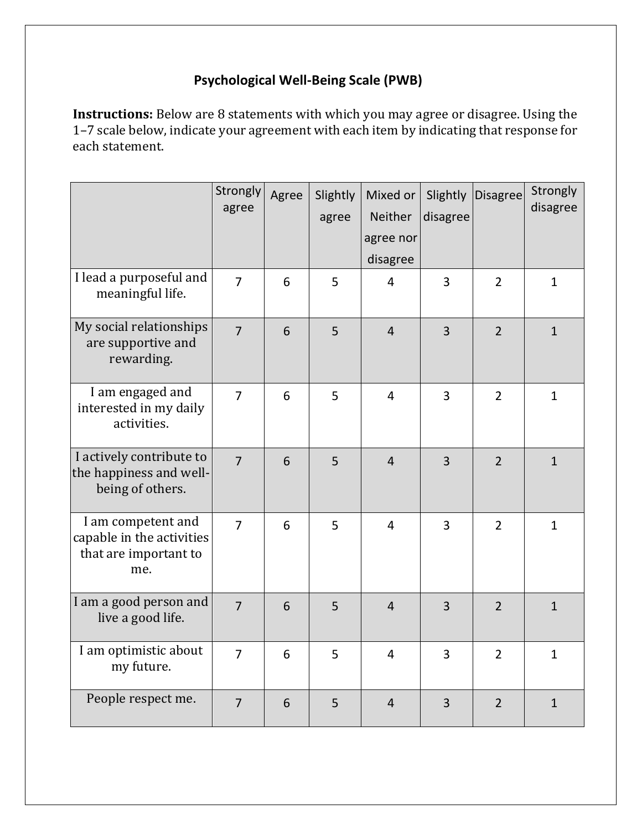## **Psychological Well-Being Scale (PWB)**

**Instructions:** Below are 8 statements with which you may agree or disagree. Using the 1–7 scale below, indicate your agreement with each item by indicating that response for each statement.

|                                                                                 | Strongly<br>agree | Agree          | Slightly<br>agree | Mixed or<br>Neither<br>agree nor<br>disagree | Slightly<br>disagree | <b>Disagree</b> | Strongly<br>disagree |
|---------------------------------------------------------------------------------|-------------------|----------------|-------------------|----------------------------------------------|----------------------|-----------------|----------------------|
| I lead a purposeful and<br>meaningful life.                                     | $\overline{7}$    | 6              | 5                 | $\overline{4}$                               | $\overline{3}$       | $\overline{2}$  | $\mathbf{1}$         |
| My social relationships<br>are supportive and<br>rewarding.                     | $\overline{7}$    | 6              | 5                 | $\overline{4}$                               | $\overline{3}$       | $\overline{2}$  | $\mathbf{1}$         |
| I am engaged and<br>interested in my daily<br>activities.                       | $\overline{7}$    | 6              | 5                 | $\overline{4}$                               | $\overline{3}$       | $\overline{2}$  | $\mathbf{1}$         |
| I actively contribute to<br>the happiness and well-<br>being of others.         | $\overline{7}$    | 6              | 5                 | $\overline{4}$                               | $\overline{3}$       | $\overline{2}$  | $\mathbf{1}$         |
| I am competent and<br>capable in the activities<br>that are important to<br>me. | $\overline{7}$    | $6\phantom{1}$ | 5                 | $\overline{4}$                               | $\overline{3}$       | $\overline{2}$  | $\mathbf{1}$         |
| I am a good person and<br>live a good life.                                     | $\overline{7}$    | 6              | 5                 | $\overline{4}$                               | $\overline{3}$       | $\overline{2}$  | $\mathbf{1}$         |
| I am optimistic about<br>my future.                                             | $\overline{7}$    | 6              | 5                 | $\overline{4}$                               | $\overline{3}$       | $\overline{2}$  | $\mathbf{1}$         |
| People respect me.                                                              | $\overline{7}$    | 6              | 5                 | $\overline{4}$                               | $\overline{3}$       | $\overline{2}$  | $\mathbf{1}$         |